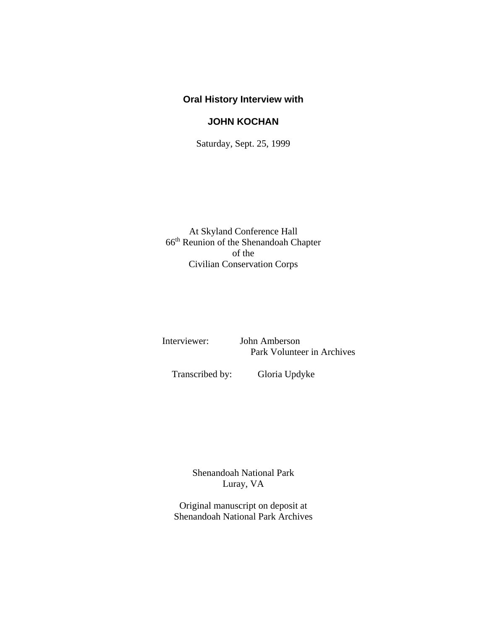### **Oral History Interview with**

## **JOHN KOCHAN**

Saturday, Sept. 25, 1999

At Skyland Conference Hall 66th Reunion of the Shenandoah Chapter of the Civilian Conservation Corps

 Interviewer: John Amberson Park Volunteer in Archives

Transcribed by: Gloria Updyke

Shenandoah National Park Luray, VA

Original manuscript on deposit at Shenandoah National Park Archives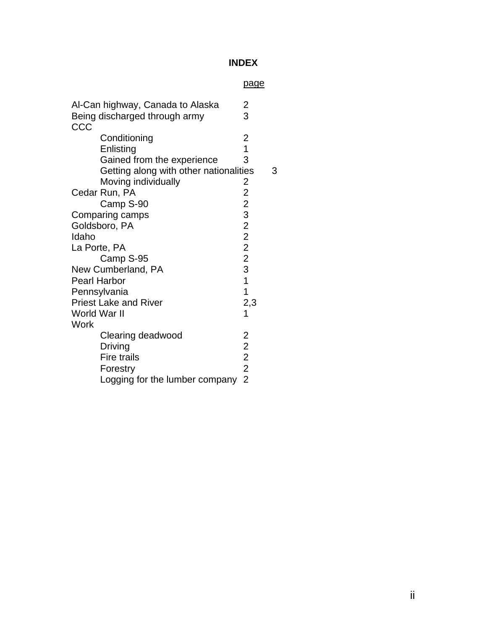# **INDEX**

### page

| Al-Can highway, Canada to Alaska       | $\overline{\mathbf{c}}$                    |  |
|----------------------------------------|--------------------------------------------|--|
| Being discharged through army          | 3                                          |  |
| CCC                                    |                                            |  |
| Conditioning                           |                                            |  |
| Enlisting                              | $\frac{2}{1}$                              |  |
| Gained from the experience             | 3                                          |  |
| Getting along with other nationalities | З                                          |  |
| Moving individually                    | 2                                          |  |
| Cedar Run, PA                          | $\overline{2}$                             |  |
| Camp S-90                              |                                            |  |
| Comparing camps                        | 2322231                                    |  |
| Goldsboro, PA                          |                                            |  |
| Idaho                                  |                                            |  |
| La Porte, PA                           |                                            |  |
| Camp S-95                              |                                            |  |
| New Cumberland, PA                     |                                            |  |
| <b>Pearl Harbor</b>                    |                                            |  |
| Pennsylvania                           | $\overline{1}$                             |  |
| <b>Priest Lake and River</b>           | 2,3                                        |  |
| World War II                           | 1                                          |  |
| Work                                   |                                            |  |
| Clearing deadwood                      | 2                                          |  |
| <b>Driving</b>                         |                                            |  |
| Fire trails                            | $\begin{array}{c} 2 \\ 2 \\ 2 \end{array}$ |  |
| Forestry                               |                                            |  |
| Logging for the lumber company         | $\overline{2}$                             |  |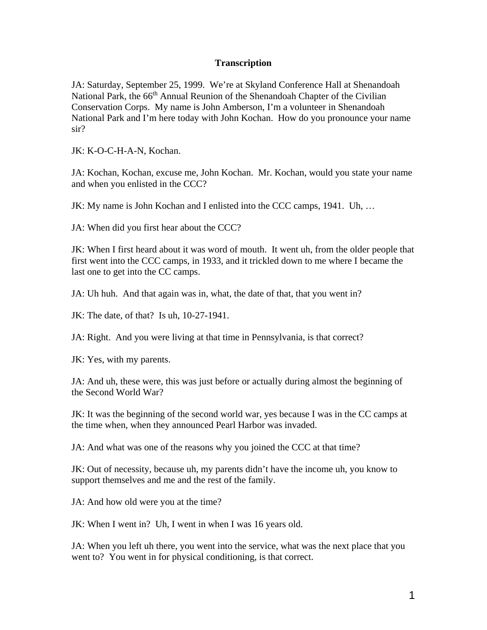#### **Transcription**

JA: Saturday, September 25, 1999. We're at Skyland Conference Hall at Shenandoah National Park, the 66<sup>th</sup> Annual Reunion of the Shenandoah Chapter of the Civilian Conservation Corps. My name is John Amberson, I'm a volunteer in Shenandoah National Park and I'm here today with John Kochan. How do you pronounce your name sir?

JK: K-O-C-H-A-N, Kochan.

JA: Kochan, Kochan, excuse me, John Kochan. Mr. Kochan, would you state your name and when you enlisted in the CCC?

JK: My name is John Kochan and I enlisted into the CCC camps, 1941. Uh, …

JA: When did you first hear about the CCC?

JK: When I first heard about it was word of mouth. It went uh, from the older people that first went into the CCC camps, in 1933, and it trickled down to me where I became the last one to get into the CC camps.

JA: Uh huh. And that again was in, what, the date of that, that you went in?

JK: The date, of that? Is uh, 10-27-1941.

JA: Right. And you were living at that time in Pennsylvania, is that correct?

JK: Yes, with my parents.

JA: And uh, these were, this was just before or actually during almost the beginning of the Second World War?

JK: It was the beginning of the second world war, yes because I was in the CC camps at the time when, when they announced Pearl Harbor was invaded.

JA: And what was one of the reasons why you joined the CCC at that time?

JK: Out of necessity, because uh, my parents didn't have the income uh, you know to support themselves and me and the rest of the family.

JA: And how old were you at the time?

JK: When I went in? Uh, I went in when I was 16 years old.

JA: When you left uh there, you went into the service, what was the next place that you went to? You went in for physical conditioning, is that correct.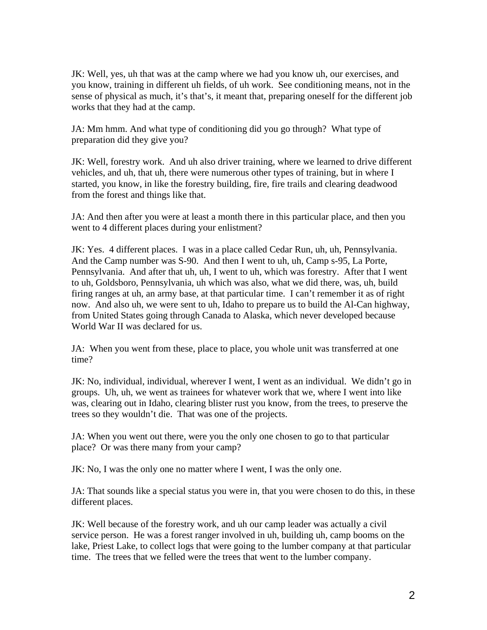JK: Well, yes, uh that was at the camp where we had you know uh, our exercises, and you know, training in different uh fields, of uh work. See conditioning means, not in the sense of physical as much, it's that's, it meant that, preparing oneself for the different job works that they had at the camp.

JA: Mm hmm. And what type of conditioning did you go through? What type of preparation did they give you?

JK: Well, forestry work. And uh also driver training, where we learned to drive different vehicles, and uh, that uh, there were numerous other types of training, but in where I started, you know, in like the forestry building, fire, fire trails and clearing deadwood from the forest and things like that.

JA: And then after you were at least a month there in this particular place, and then you went to 4 different places during your enlistment?

JK: Yes. 4 different places. I was in a place called Cedar Run, uh, uh, Pennsylvania. And the Camp number was S-90. And then I went to uh, uh, Camp s-95, La Porte, Pennsylvania. And after that uh, uh, I went to uh, which was forestry. After that I went to uh, Goldsboro, Pennsylvania, uh which was also, what we did there, was, uh, build firing ranges at uh, an army base, at that particular time. I can't remember it as of right now. And also uh, we were sent to uh, Idaho to prepare us to build the Al-Can highway, from United States going through Canada to Alaska, which never developed because World War II was declared for us.

JA: When you went from these, place to place, you whole unit was transferred at one time?

JK: No, individual, individual, wherever I went, I went as an individual. We didn't go in groups. Uh, uh, we went as trainees for whatever work that we, where I went into like was, clearing out in Idaho, clearing blister rust you know, from the trees, to preserve the trees so they wouldn't die. That was one of the projects.

JA: When you went out there, were you the only one chosen to go to that particular place? Or was there many from your camp?

JK: No, I was the only one no matter where I went, I was the only one.

JA: That sounds like a special status you were in, that you were chosen to do this, in these different places.

JK: Well because of the forestry work, and uh our camp leader was actually a civil service person. He was a forest ranger involved in uh, building uh, camp booms on the lake, Priest Lake, to collect logs that were going to the lumber company at that particular time. The trees that we felled were the trees that went to the lumber company.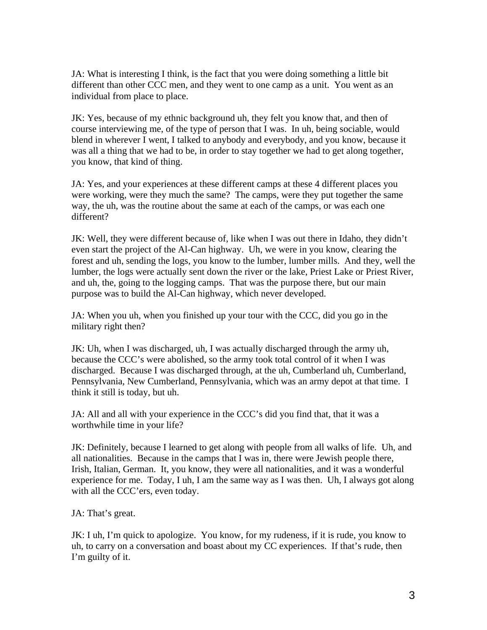JA: What is interesting I think, is the fact that you were doing something a little bit different than other CCC men, and they went to one camp as a unit. You went as an individual from place to place.

JK: Yes, because of my ethnic background uh, they felt you know that, and then of course interviewing me, of the type of person that I was. In uh, being sociable, would blend in wherever I went, I talked to anybody and everybody, and you know, because it was all a thing that we had to be, in order to stay together we had to get along together, you know, that kind of thing.

JA: Yes, and your experiences at these different camps at these 4 different places you were working, were they much the same? The camps, were they put together the same way, the uh, was the routine about the same at each of the camps, or was each one different?

JK: Well, they were different because of, like when I was out there in Idaho, they didn't even start the project of the Al-Can highway. Uh, we were in you know, clearing the forest and uh, sending the logs, you know to the lumber, lumber mills. And they, well the lumber, the logs were actually sent down the river or the lake, Priest Lake or Priest River, and uh, the, going to the logging camps. That was the purpose there, but our main purpose was to build the Al-Can highway, which never developed.

JA: When you uh, when you finished up your tour with the CCC, did you go in the military right then?

JK: Uh, when I was discharged, uh, I was actually discharged through the army uh, because the CCC's were abolished, so the army took total control of it when I was discharged. Because I was discharged through, at the uh, Cumberland uh, Cumberland, Pennsylvania, New Cumberland, Pennsylvania, which was an army depot at that time. I think it still is today, but uh.

JA: All and all with your experience in the CCC's did you find that, that it was a worthwhile time in your life?

JK: Definitely, because I learned to get along with people from all walks of life. Uh, and all nationalities. Because in the camps that I was in, there were Jewish people there, Irish, Italian, German. It, you know, they were all nationalities, and it was a wonderful experience for me. Today, I uh, I am the same way as I was then. Uh, I always got along with all the CCC'ers, even today.

JA: That's great.

JK: I uh, I'm quick to apologize. You know, for my rudeness, if it is rude, you know to uh, to carry on a conversation and boast about my CC experiences. If that's rude, then I'm guilty of it.